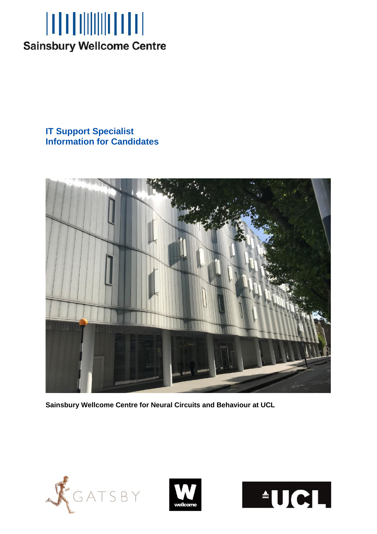

**IT Support Specialist Information for Candidates**



**Sainsbury Wellcome Centre for Neural Circuits and Behaviour at UCL**





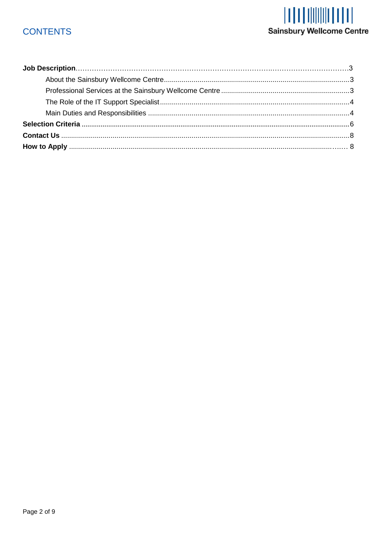# **CONTENTS**

# **Sainsbury Wellcome Centre**

<span id="page-1-0"></span>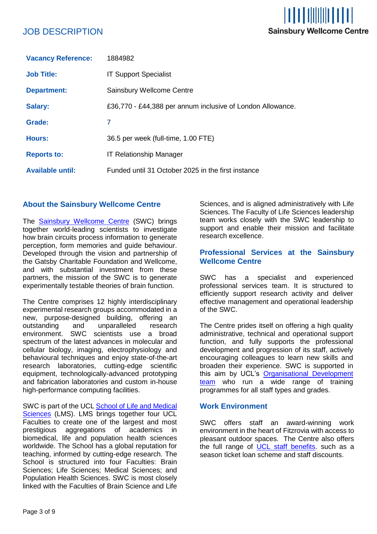# JOB DESCRIPTION

| <b>Vacancy Reference:</b> | 1884982                                                    |
|---------------------------|------------------------------------------------------------|
| <b>Job Title:</b>         | <b>IT Support Specialist</b>                               |
| <b>Department:</b>        | Sainsbury Wellcome Centre                                  |
| <b>Salary:</b>            | £36,770 - £44,388 per annum inclusive of London Allowance. |
| Grade:                    | 7                                                          |
| <b>Hours:</b>             | 36.5 per week (full-time, 1.00 FTE)                        |
| <b>Reports to:</b>        | <b>IT Relationship Manager</b>                             |
| <b>Available until:</b>   | Funded until 31 October 2025 in the first instance         |

# <span id="page-2-0"></span>**About the Sainsbury Wellcome Centre**

The **[Sainsbury Wellcome Centre](https://www.sainsburywellcome.org/web/) (SWC) brings** together world-leading scientists to investigate how brain circuits process information to generate perception, form memories and guide behaviour. Developed through the vision and partnership of the Gatsby Charitable Foundation and Wellcome, and with substantial investment from these partners, the mission of the SWC is to generate experimentally testable theories of brain function.

The Centre comprises 12 highly interdisciplinary experimental research groups accommodated in a new, purpose-designed building, offering an outstanding and unparalleled research environment. SWC scientists use a broad spectrum of the latest advances in molecular and cellular biology, imaging, electrophysiology and behavioural techniques and enjoy state-of-the-art research laboratories, cutting-edge scientific equipment, technologically-advanced prototyping and fabrication laboratories and custom in-house high-performance computing facilities.

SWC is part of the UCL School of Life and Medical [Sciences](https://www.ucl.ac.uk/school-life-medical-sciences/about-ucl-school-life-and-medical-sciences) (LMS). LMS brings together four UCL Faculties to create one of the largest and most prestigious aggregations of academics in biomedical, life and population health sciences worldwide. The School has a global reputation for teaching, informed by cutting-edge research. The School is structured into four Faculties: Brain Sciences; Life Sciences; Medical Sciences; and Population Health Sciences. SWC is most closely linked with the Faculties of Brain Science and Life

Sciences, and is aligned administratively with Life Sciences. The Faculty of Life Sciences leadership team works closely with the SWC leadership to support and enable their mission and facilitate research excellence.

# <span id="page-2-1"></span>**Professional Services at the Sainsbury Wellcome Centre**

SWC has a specialist and experienced professional services team. It is structured to efficiently support research activity and deliver effective management and operational leadership of the SWC.

The Centre prides itself on offering a high quality administrative, technical and operational support function, and fully supports the professional development and progression of its staff, actively encouraging colleagues to learn new skills and broaden their experience. SWC is supported in this aim by UCL's Organisational Development [team](https://www.ucl.ac.uk/human-resources/learning-and-development) who run a wide range of training programmes for all staff types and grades.

# **Work Environment**

<span id="page-2-2"></span>SWC offers staff an award-winning work environment in the heart of Fitzrovia with access to pleasant outdoor spaces. The Centre also offers the full range of [UCL staff benefits.](https://www.ucl.ac.uk/human-resources/pay-and-staff-benefits) such as a season ticket loan scheme and staff discounts.

I TILTI TIINIIN LT LT I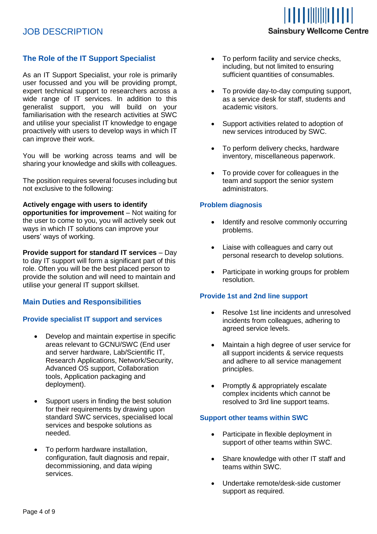# **The Role of the IT Support Specialist**

<span id="page-3-0"></span>As an IT Support Specialist, your role is primarily user focussed and you will be providing prompt, expert technical support to researchers across a wide range of IT services. In addition to this generalist support, you will build on your familiarisation with the research activities at SWC and utilise your specialist IT knowledge to engage proactively with users to develop ways in which IT can improve their work.

You will be working across teams and will be sharing your knowledge and skills with colleagues.

The position requires several focuses including but not exclusive to the following:

#### **Actively engage with users to identify**

**opportunities for improvement** – Not waiting for the user to come to you, you will actively seek out ways in which IT solutions can improve your users' ways of working.

**Provide support for standard IT services** – Day to day IT support will form a significant part of this role. Often you will be the best placed person to provide the solution and will need to maintain and utilise your general IT support skillset.

# **Main Duties and Responsibilities**

# **Provide specialist IT support and services**

- Develop and maintain expertise in specific areas relevant to GCNU/SWC (End user and server hardware, Lab/Scientific IT, Research Applications, Network/Security, Advanced OS support, Collaboration tools, Application packaging and deployment).
- Support users in finding the best solution for their requirements by drawing upon standard SWC services, specialised local services and bespoke solutions as needed.
- To perform hardware installation, configuration, fault diagnosis and repair, decommissioning, and data wiping services.
- To perform facility and service checks, including, but not limited to ensuring sufficient quantities of consumables.
- To provide day-to-day computing support, as a service desk for staff, students and academic visitors.
- Support activities related to adoption of new services introduced by SWC.
- To perform delivery checks, hardware inventory, miscellaneous paperwork.
- To provide cover for colleagues in the team and support the senior system administrators.

# **Problem diagnosis**

- Identify and resolve commonly occurring problems.
- Liaise with colleagues and carry out personal research to develop solutions.
- Participate in working groups for problem resolution.

# **Provide 1st and 2nd line support**

- Resolve 1st line incidents and unresolved incidents from colleagues, adhering to agreed service levels.
- Maintain a high degree of user service for all support incidents & service requests and adhere to all service management principles.
- Promptly & appropriately escalate complex incidents which cannot be resolved to 3rd line support teams.

# **Support other teams within SWC**

- Participate in flexible deployment in support of other teams within SWC.
- Share knowledge with other IT staff and teams within SWC.
- Undertake remote/desk-side customer support as required.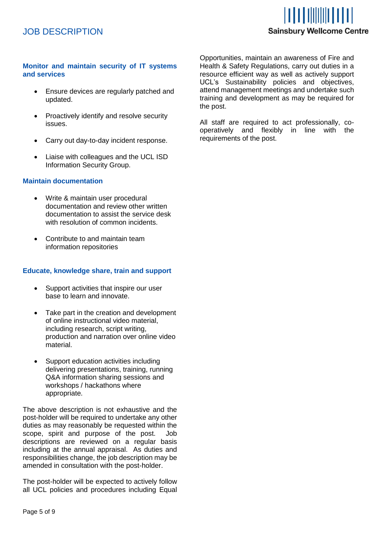# <u>IT FI TIIIIIIII FI TI</u> **Sainsbury Wellcome Centre**

# **Monitor and maintain security of IT systems and services**

- Ensure devices are regularly patched and updated.
- Proactively identify and resolve security issues.
- Carry out day-to-day incident response.
- Liaise with colleagues and the UCL ISD Information Security Group.

# **Maintain documentation**

- Write & maintain user procedural documentation and review other written documentation to assist the service desk with resolution of common incidents.
- Contribute to and maintain team information repositories

# **Educate, knowledge share, train and support**

- Support activities that inspire our user base to learn and innovate.
- Take part in the creation and development of online instructional video material, including research, script writing, production and narration over online video material.
- Support education activities including delivering presentations, training, running Q&A information sharing sessions and workshops / hackathons where appropriate.

The above description is not exhaustive and the post-holder will be required to undertake any other duties as may reasonably be requested within the scope, spirit and purpose of the post. Job descriptions are reviewed on a regular basis including at the annual appraisal. As duties and responsibilities change, the job description may be amended in consultation with the post-holder.

The post-holder will be expected to actively follow all UCL policies and procedures including Equal Opportunities, maintain an awareness of Fire and Health & Safety Regulations, carry out duties in a resource efficient way as well as actively support UCL's Sustainability policies and objectives, attend management meetings and undertake such training and development as may be required for the post.

All staff are required to act professionally, cooperatively and flexibly in line with the requirements of the post.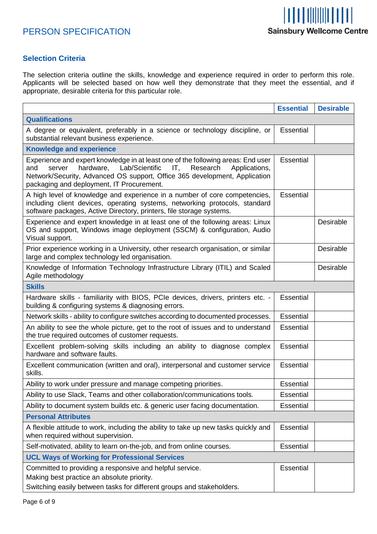

# <span id="page-5-0"></span>**Selection Criteria**

The selection criteria outline the skills, knowledge and experience required in order to perform this role. Applicants will be selected based on how well they demonstrate that they meet the essential, and if appropriate, desirable criteria for this particular role.

|                                                                                                                                                                                                                                                                                              | <b>Essential</b> | <b>Desirable</b> |
|----------------------------------------------------------------------------------------------------------------------------------------------------------------------------------------------------------------------------------------------------------------------------------------------|------------------|------------------|
| <b>Qualifications</b>                                                                                                                                                                                                                                                                        |                  |                  |
| A degree or equivalent, preferably in a science or technology discipline, or<br>substantial relevant business experience.                                                                                                                                                                    | <b>Essential</b> |                  |
| <b>Knowledge and experience</b>                                                                                                                                                                                                                                                              |                  |                  |
| Experience and expert knowledge in at least one of the following areas: End user<br>hardware, Lab/Scientific<br>and<br>IT,<br>Research<br>server<br>Applications,<br>Network/Security, Advanced OS support, Office 365 development, Application<br>packaging and deployment, IT Procurement. | <b>Essential</b> |                  |
| A high level of knowledge and experience in a number of core competencies,<br>including client devices, operating systems, networking protocols, standard<br>software packages, Active Directory, printers, file storage systems.                                                            | <b>Essential</b> |                  |
| Experience and expert knowledge in at least one of the following areas: Linux<br>OS and support, Windows image deployment (SSCM) & configuration, Audio<br>Visual support.                                                                                                                   |                  | Desirable        |
| Prior experience working in a University, other research organisation, or similar<br>large and complex technology led organisation.                                                                                                                                                          |                  | Desirable        |
| Knowledge of Information Technology Infrastructure Library (ITIL) and Scaled<br>Agile methodology                                                                                                                                                                                            |                  | Desirable        |
| <b>Skills</b>                                                                                                                                                                                                                                                                                |                  |                  |
| Hardware skills - familiarity with BIOS, PCIe devices, drivers, printers etc. -<br>building & configuring systems & diagnosing errors.                                                                                                                                                       | <b>Essential</b> |                  |
| Network skills - ability to configure switches according to documented processes.                                                                                                                                                                                                            | <b>Essential</b> |                  |
| An ability to see the whole picture, get to the root of issues and to understand<br>the true required outcomes of customer requests.                                                                                                                                                         | Essential        |                  |
| Excellent problem-solving skills including an ability to diagnose complex<br>hardware and software faults.                                                                                                                                                                                   | <b>Essential</b> |                  |
| Excellent communication (written and oral), interpersonal and customer service<br>skills.                                                                                                                                                                                                    | <b>Essential</b> |                  |
| Ability to work under pressure and manage competing priorities.                                                                                                                                                                                                                              | <b>Essential</b> |                  |
| Ability to use Slack, Teams and other collaboration/communications tools.                                                                                                                                                                                                                    | Essential        |                  |
| Ability to document system builds etc. & generic user facing documentation.                                                                                                                                                                                                                  | <b>Essential</b> |                  |
| <b>Personal Attributes</b>                                                                                                                                                                                                                                                                   |                  |                  |
| A flexible attitude to work, including the ability to take up new tasks quickly and<br>when required without supervision.                                                                                                                                                                    | <b>Essential</b> |                  |
| Self-motivated, ability to learn on-the-job, and from online courses.                                                                                                                                                                                                                        | <b>Essential</b> |                  |
| <b>UCL Ways of Working for Professional Services</b>                                                                                                                                                                                                                                         |                  |                  |
| Committed to providing a responsive and helpful service.<br>Making best practice an absolute priority.<br>Switching easily between tasks for different groups and stakeholders.                                                                                                              | Essential        |                  |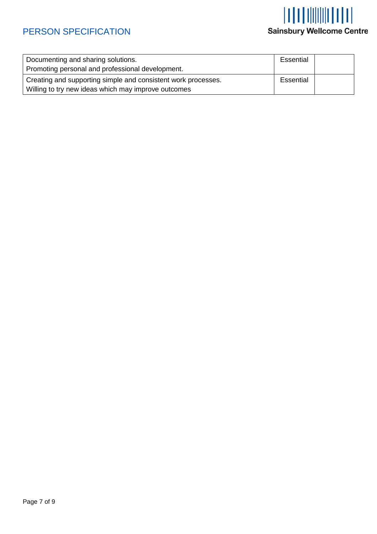# **Sainsbury Wellcome Centre**

| Documenting and sharing solutions.                            |           |  |
|---------------------------------------------------------------|-----------|--|
| Promoting personal and professional development.              |           |  |
| Creating and supporting simple and consistent work processes. | Essential |  |
| Willing to try new ideas which may improve outcomes           |           |  |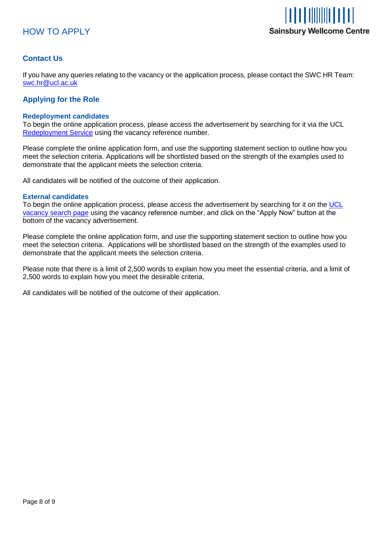



# <span id="page-7-0"></span>**Contact Us**

If you have any queries relating to the vacancy or the application process, please contact the SWC HR Team: [swc.hr@ucl.ac.uk](mailto:swc.hr@ucl.ac.uk)

# <span id="page-7-1"></span>**Applying for the Role**

### **Redeployment candidates**

To begin the online application process, please access the advertisement by searching for it via the UCL [Redeployment Service](https://www.ucl.ac.uk/human-resources/working-ucl/internal-opportunities) using the vacancy reference number.

Please complete the online application form, and use the supporting statement section to outline how you meet the selection criteria. Applications will be shortlisted based on the strength of the examples used to demonstrate that the applicant meets the selection criteria.

All candidates will be notified of the outcome of their application.

### **External candidates**

To begin the online application process, please access the advertisement by searching for it on the [UCL](http://www.ucl.ac.uk/hr/jobs/)  [vacancy search page](http://www.ucl.ac.uk/hr/jobs/) using the vacancy reference number, and click on the "Apply Now" button at the bottom of the vacancy advertisement.

Please complete the online application form, and use the supporting statement section to outline how you meet the selection criteria. Applications will be shortlisted based on the strength of the examples used to demonstrate that the applicant meets the selection criteria.

Please note that there is a limit of 2,500 words to explain how you meet the essential criteria, and a limit of 2,500 words to explain how you meet the desirable criteria.

All candidates will be notified of the outcome of their application.